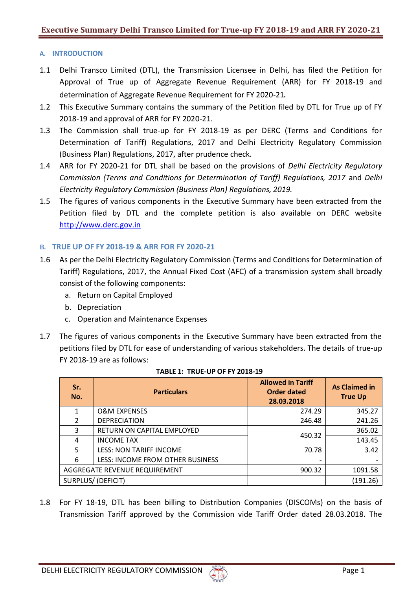## **A. INTRODUCTION**

- 1.1 Delhi Transco Limited (DTL), the Transmission Licensee in Delhi, has filed the Petition for Approval of True up of Aggregate Revenue Requirement (ARR) for FY 2018-19 and determination of Aggregate Revenue Requirement for FY 2020-21.
- 1.2 This Executive Summary contains the summary of the Petition filed by DTL for True up of FY 2018-19 and approval of ARR for FY 2020-21.
- 1.3 The Commission shall true-up for FY 2018-19 as per DERC (Terms and Conditions for Determination of Tariff) Regulations, 2017 and Delhi Electricity Regulatory Commission (Business Plan) Regulations, 2017, after prudence check.
- 1.4 ARR for FY 2020-21 for DTL shall be based on the provisions of *Delhi Electricity Regulatory Commission (Terms and Conditions for Determination of Tariff) Regulations, 2017* and *Delhi Electricity Regulatory Commission (Business Plan) Regulations, 2019.*
- 1.5 The figures of various components in the Executive Summary have been extracted from the Petition filed by DTL and the complete petition is also available on DERC website [http://www.derc.gov.in](http://www.derc.gov.in/)

# **B. TRUE UP OF FY 2018-19 & ARR FOR FY 2020-21**

- 1.6 As per the Delhi Electricity Regulatory Commission (Terms and Conditions for Determination of Tariff) Regulations, 2017, the Annual Fixed Cost (AFC) of a transmission system shall broadly consist of the following components:
	- a. Return on Capital Employed
	- b. Depreciation
	- c. Operation and Maintenance Expenses
- 1.7 The figures of various components in the Executive Summary have been extracted from the petitions filed by DTL for ease of understanding of various stakeholders. The details of true-up FY 2018-19 are as follows:

| Sr.<br>No.                    | <b>Particulars</b>               | <b>Allowed in Tariff</b><br>Order dated<br>28.03.2018 | <b>As Claimed in</b><br><b>True Up</b> |
|-------------------------------|----------------------------------|-------------------------------------------------------|----------------------------------------|
| 1                             | <b>O&amp;M EXPENSES</b>          | 274.29                                                | 345.27                                 |
| 2                             | <b>DEPRECIATION</b>              | 246.48                                                | 241.26                                 |
| 3                             | RETURN ON CAPITAL EMPLOYED       | 450.32                                                | 365.02                                 |
| 4                             | <b>INCOME TAX</b>                |                                                       | 143.45                                 |
| 5                             | <b>LESS: NON TARIFF INCOME</b>   | 70.78                                                 | 3.42                                   |
| 6                             | LESS: INCOME FROM OTHER BUSINESS |                                                       |                                        |
| AGGREGATE REVENUE REQUIREMENT |                                  | 900.32                                                | 1091.58                                |
| <b>SURPLUS/ (DEFICIT)</b>     |                                  |                                                       | (191.26)                               |

#### **TABLE 1: TRUE-UP OF FY 2018-19**

1.8 For FY 18-19, DTL has been billing to Distribution Companies (DISCOMs) on the basis of Transmission Tariff approved by the Commission vide Tariff Order dated 28.03.2018. The